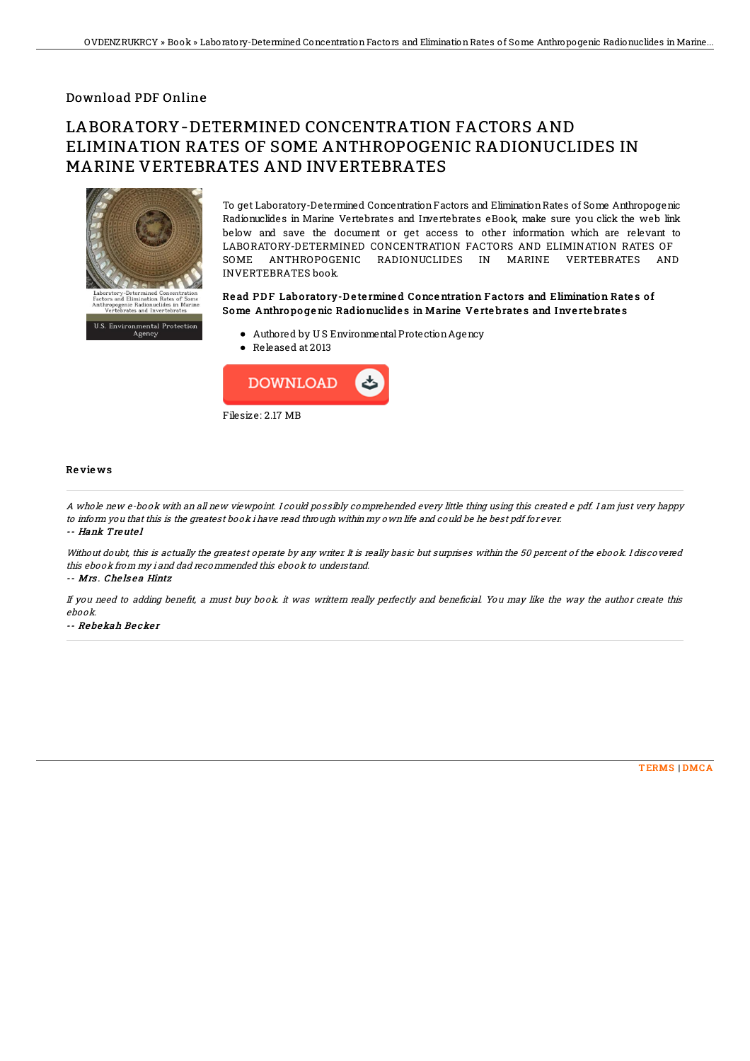## Download PDF Online

# LABORATORY-DETERMINED CONCENTRATION FACTORS AND ELIMINATION RATES OF SOME ANTHROPOGENIC RADIONUCLIDES IN MARINE VERTEBRATES AND INVERTEBRATES



To get Laboratory-Determined ConcentrationFactors and EliminationRates of Some Anthropogenic Radionuclides in Marine Vertebrates and Invertebrates eBook, make sure you click the web link below and save the document or get access to other information which are relevant to LABORATORY-DETERMINED CONCENTRATION FACTORS AND ELIMINATION RATES OF SOME ANTHROPOGENIC RADIONUCLIDES IN MARINE VERTEBRATES AND INVERTEBRATES book.

### Read PDF Laboratory-Determined Concentration Factors and Elimination Rates of Some Anthropogenic Radionuclides in Marine Vertebrates and Invertebrates

- Authored by U S EnvironmentalProtectionAgency
- Released at 2013



#### Re vie ws

A whole new e-book with an all new viewpoint. I could possibly comprehended every little thing using this created <sup>e</sup> pdf. I am just very happy to inform you that this is the greatest book i have read through within my own life and could be he best pdf for ever.

-- Hank Treute l

Without doubt, this is actually the greatest operate by any writer. It is really basic but surprises within the 50 percent of the ebook. I discovered this ebook from my i and dad recommended this ebook to understand.

#### -- Mrs. Chelsea Hintz

If you need to adding benefit, a must buy book. it was writtern really perfectly and beneficial. You may like the way the author create this ebook.

-- Rebekah Becker